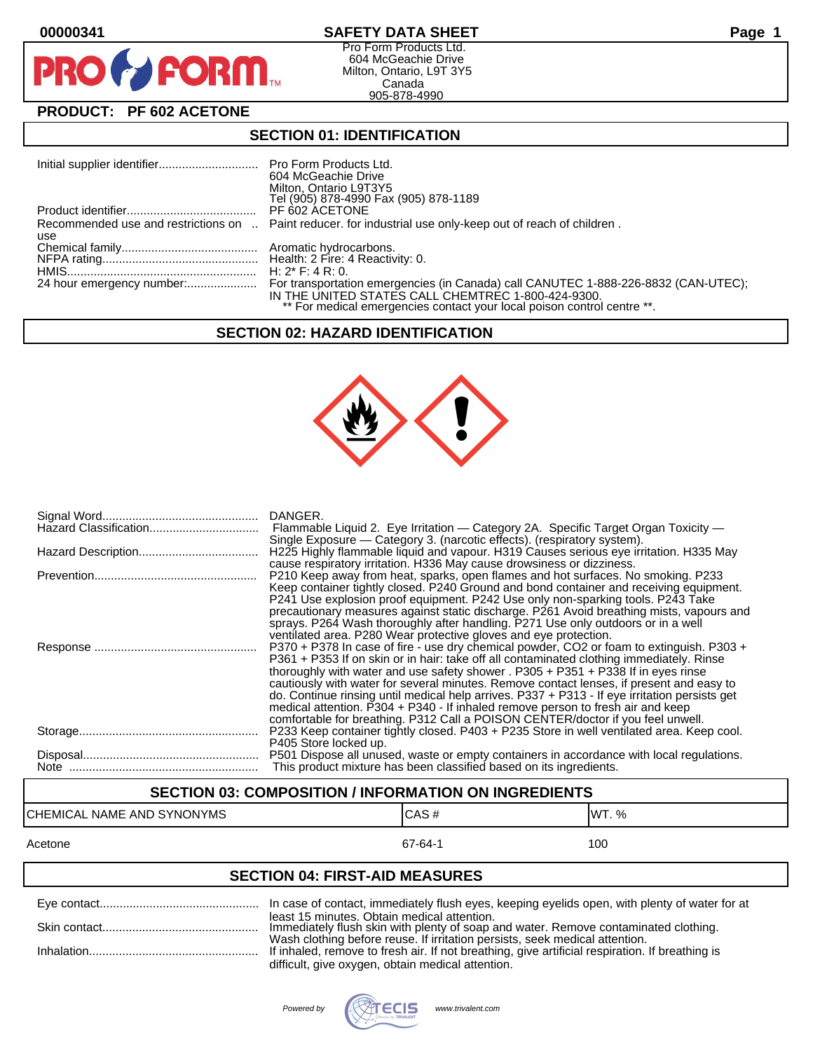PF



Pro Form Products Ltd. 604 McGeachie Drive Milton, Ontario, L9T 3Y5 Canada 905-878-4990

# **PRODUCT: PF 602 ACETONE**

**FORM** 

### **SECTION 01: IDENTIFICATION**

|     | 604 McGeachie Drive<br>Milton, Ontario L9T3Y5<br>Tel (905) 878-4990 Fax (905) 878-1189                                        |
|-----|-------------------------------------------------------------------------------------------------------------------------------|
|     | PF 602 ACETONE                                                                                                                |
| use | Recommended use and restrictions on  Paint reducer. for industrial use only-keep out of reach of children.                    |
|     |                                                                                                                               |
|     |                                                                                                                               |
|     |                                                                                                                               |
|     | IN THE UNITED STATES CALL CHEMTREC 1-800-424-9300.<br>** For medical emergencies contact your local poison control centre **. |

#### **SECTION 02: HAZARD IDENTIFICATION**



| DANGER.<br>Flammable Liquid 2. Eye Irritation - Category 2A. Specific Target Organ Toxicity -<br>Single Exposure — Category 3. (narcotic effects). (respiratory system).                                                                                                                                                                                                                                                                                                                                                                                                                                                                     |
|----------------------------------------------------------------------------------------------------------------------------------------------------------------------------------------------------------------------------------------------------------------------------------------------------------------------------------------------------------------------------------------------------------------------------------------------------------------------------------------------------------------------------------------------------------------------------------------------------------------------------------------------|
| H225 Highly flammable liquid and vapour. H319 Causes serious eye irritation. H335 May<br>cause respiratory irritation. H336 May cause drowsiness or dizziness.                                                                                                                                                                                                                                                                                                                                                                                                                                                                               |
| P210 Keep away from heat, sparks, open flames and hot surfaces. No smoking. P233<br>Keep container tightly closed. P240 Ground and bond container and receiving equipment.<br>P241 Use explosion proof equipment. P242 Use only non-sparking tools. P243 Take<br>precautionary measures against static discharge. P261 Avoid breathing mists, vapours and<br>sprays. P264 Wash thoroughly after handling. P271 Use only outdoors or in a well<br>ventilated area. P280 Wear protective gloves and eye protection.                                                                                                                            |
| P370 + P378 In case of fire - use dry chemical powder, CO2 or foam to extinguish. P303 +<br>P361 + P353 If on skin or in hair: take off all contaminated clothing immediately. Rinse<br>thoroughly with water and use safety shower . P305 + P351 + P338 If in eyes rinse<br>cautiously with water for several minutes. Remove contact lenses, if present and easy to<br>do. Continue rinsing until medical help arrives. P337 + P313 - If eye irritation persists get<br>medical attention. P304 + P340 - If inhaled remove person to fresh air and keep<br>comfortable for breathing. P312 Call a POISON CENTER/doctor if you feel unwell. |
| P233 Keep container tightly closed. P403 + P235 Store in well ventilated area. Keep cool.<br>P405 Store locked up.                                                                                                                                                                                                                                                                                                                                                                                                                                                                                                                           |
| P501 Dispose all unused, waste or empty containers in accordance with local regulations.<br>This product mixture has been classified based on its ingredients.                                                                                                                                                                                                                                                                                                                                                                                                                                                                               |

# **SECTION 03: COMPOSITION / INFORMATION ON INGREDIENTS**

# CHEMICAL NAME AND SYNONYMS CAS # CAS # WT. %

#### Acetone 67-64-1 100

### **SECTION 04: FIRST-AID MEASURES**

| least 15 minutes. Obtain medical attention.<br>Immediately flush skin with plenty of soap and water. Remove contaminated clothing.                                             |
|--------------------------------------------------------------------------------------------------------------------------------------------------------------------------------|
| Wash clothing before reuse. If irritation persists, seek medical attention.<br>If inhaled, remove to fresh air. If not breathing, give artificial respiration. If breathing is |
| difficult, give oxygen, obtain medical attention.                                                                                                                              |

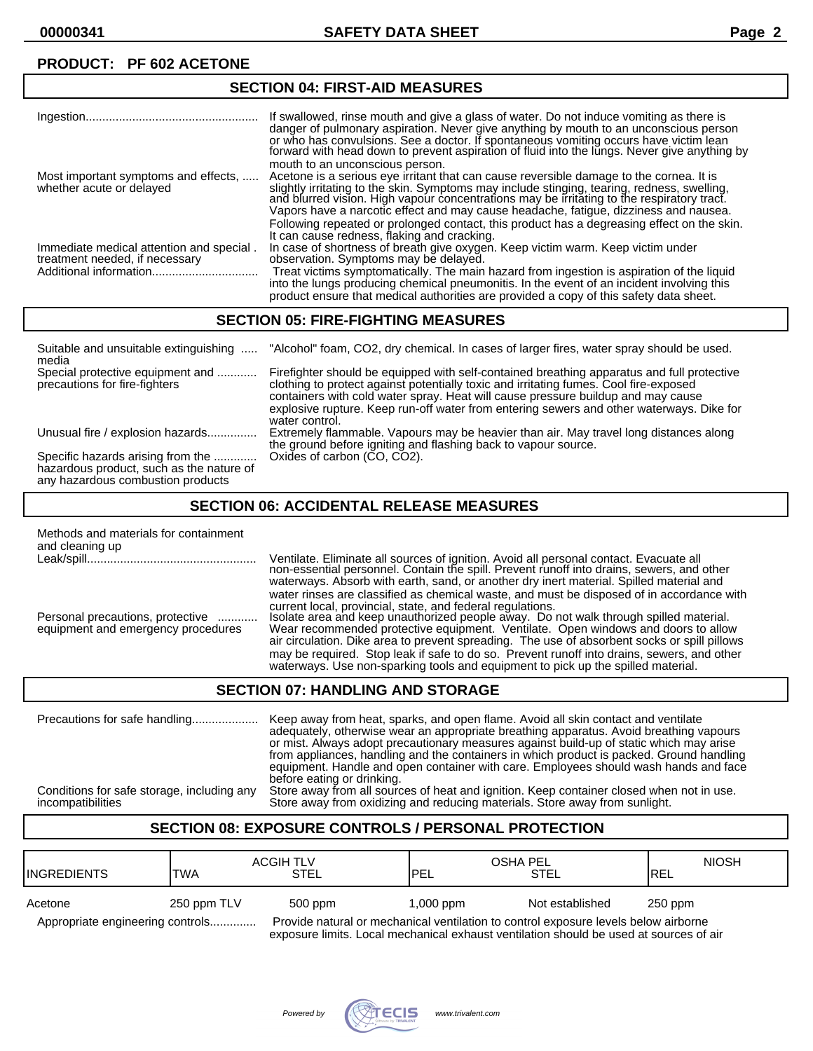| 96911983.111191-AD MEAGONEG                                                |                                                                                                                                                                                                                                                                                                                                                                                                                 |  |
|----------------------------------------------------------------------------|-----------------------------------------------------------------------------------------------------------------------------------------------------------------------------------------------------------------------------------------------------------------------------------------------------------------------------------------------------------------------------------------------------------------|--|
|                                                                            | If swallowed, rinse mouth and give a glass of water. Do not induce vomiting as there is<br>danger of pulmonary aspiration. Never give anything by mouth to an unconscious person                                                                                                                                                                                                                                |  |
|                                                                            | or who has convulsions. See a doctor. If spontaneous vomiting occurs have victim lean<br>forward with head down to prevent aspiration of fluid into the lungs. Never give anything by                                                                                                                                                                                                                           |  |
| Most important symptoms and effects,<br>whether acute or delayed           | mouth to an unconscious person.<br>Acetone is a serious eye irritant that can cause reversible damage to the cornea. It is<br>slightly irritating to the skin. Symptoms may include stinging, tearing, redness, swelling,<br>and blurred vision. High vapour concentrations may be irritating to the respiratory tract.<br>Vapors have a narcotic effect and may cause headache, fatigue, dizziness and nausea. |  |
| Immediate medical attention and special.<br>treatment needed, if necessary | Following repeated or prolonged contact, this product has a degreasing effect on the skin.<br>It can cause redness, flaking and cracking.<br>In case of shortness of breath give oxygen. Keep victim warm. Keep victim under<br>observation. Symptoms may be delayed.                                                                                                                                           |  |
|                                                                            | Treat victims symptomatically. The main hazard from ingestion is aspiration of the liquid<br>into the lungs producing chemical pneumonitis. In the event of an incident involving this<br>product ensure that medical authorities are provided a copy of this safety data sheet.                                                                                                                                |  |

### **SECTION 05: FIRE-FIGHTING MEASURES**

**SECTION 04: FIRST-AID MEASURES**

| Suitable and unsuitable extinguishing<br>media                                                                     | "Alcohol" foam, CO2, dry chemical. In cases of larger fires, water spray should be used.                                                                                                                                                                                                                                                                                              |
|--------------------------------------------------------------------------------------------------------------------|---------------------------------------------------------------------------------------------------------------------------------------------------------------------------------------------------------------------------------------------------------------------------------------------------------------------------------------------------------------------------------------|
| Special protective equipment and<br>precautions for fire-fighters                                                  | Firefighter should be equipped with self-contained breathing apparatus and full protective<br>clothing to protect against potentially toxic and irritating fumes. Cool fire-exposed<br>containers with cold water spray. Heat will cause pressure buildup and may cause<br>explosive rupture. Keep run-off water from entering sewers and other waterways. Dike for<br>water control. |
| Unusual fire / explosion hazards                                                                                   | Extremely flammable. Vapours may be heavier than air. May travel long distances along<br>the ground before igniting and flashing back to vapour source.                                                                                                                                                                                                                               |
| Specific hazards arising from the<br>hazardous product, such as the nature of<br>any hazardous combustion products | Oxides of carbon (CO, CO2).                                                                                                                                                                                                                                                                                                                                                           |

### **SECTION 06: ACCIDENTAL RELEASE MEASURES**

| Methods and materials for containment<br>and cleaning up               |                                                                                                                                                                                                                                                                             |
|------------------------------------------------------------------------|-----------------------------------------------------------------------------------------------------------------------------------------------------------------------------------------------------------------------------------------------------------------------------|
|                                                                        | Ventilate. Eliminate all sources of ignition. Avoid all personal contact. Evacuate all non-essential personnel. Contain the spill. Prevent runoff into drains, sewers, and other<br>waterways. Absorb with earth, sand, or another dry inert material. Spilled material and |
|                                                                        | water rinses are classified as chemical waste, and must be disposed of in accordance with<br>current local, provincial, state, and federal regulations.                                                                                                                     |
| Personal precautions, protective<br>equipment and emergency procedures | Isolate area and keep unauthorized people away. Do not walk through spilled material.<br>Wear recommended protective equipment. Ventilate. Open windows and doors to allow<br>air circulation. Dike area to prevent spreading. The use of absorbent socks or spill pillows  |
|                                                                        | may be required. Stop leak if safe to do so. Prevent runoff into drains, sewers, and other<br>waterways. Use non-sparking tools and equipment to pick up the spilled material.                                                                                              |

### **SECTION 07: HANDLING AND STORAGE**

Precautions for safe handling.................... Keep away from heat, sparks, and open flame. Avoid all skin contact and ventilate adequately, otherwise wear an appropriate breathing apparatus. Avoid breathing vapours or mist. Always adopt precautionary measures against build-up of static which may arise from appliances, handling and the containers in which product is packed. Ground handling equipment. Handle and open container with care. Employees should wash hands and face before eating or drinking. Conditions for safe storage, including any Store away from all sources of heat and ignition. Keep container closed when not in use.<br>incompatibilities store at and store away from oxidizing and reducing materials. Store awa Store away from oxidizing and reducing materials. Store away from sunlight.

### **SECTION 08: EXPOSURE CONTROLS / PERSONAL PROTECTION**

| <b>I</b> INGREDIENTS             | <b>TWA</b>  | <b>ACGIH TLV</b><br><b>STEL</b> | OSHA PEL<br>PEL                                                                     | STEL            | <b>NIOSH</b><br><b>IREL</b> |
|----------------------------------|-------------|---------------------------------|-------------------------------------------------------------------------------------|-----------------|-----------------------------|
| Acetone                          | 250 ppm TLV | 500 ppm                         | $1,000$ ppm                                                                         | Not established | $250$ ppm                   |
| Appropriate engineering controls |             |                                 | Provide natural or mechanical ventilation to control exposure levels below airborne |                 |                             |

exposure limits. Local mechanical exhaust ventilation should be used at sources of air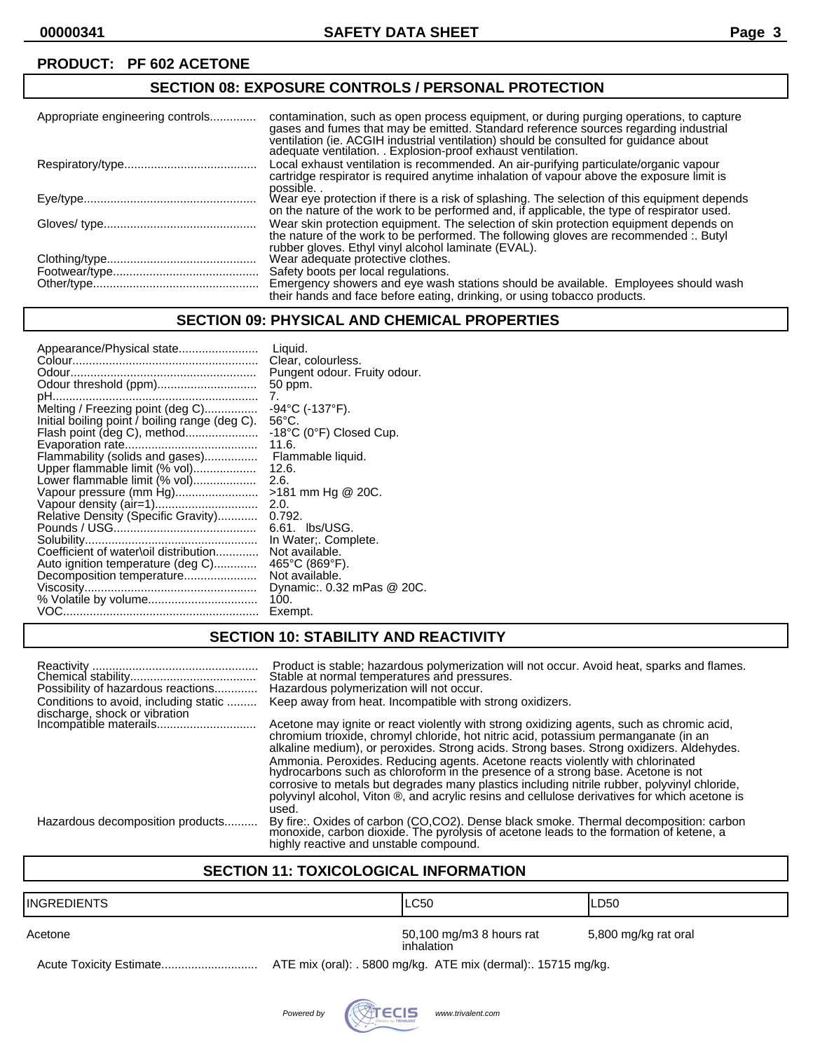# **SECTION 08: EXPOSURE CONTROLS / PERSONAL PROTECTION**

| Appropriate engineering controls | contamination, such as open process equipment, or during purging operations, to capture<br>gases and fumes that may be emitted. Standard reference sources regarding industrial<br>ventilation (ie. ACGIH industrial ventilation) should be consulted for guidance about<br>adequate ventilation. . Explosion-proof exhaust ventilation. |
|----------------------------------|------------------------------------------------------------------------------------------------------------------------------------------------------------------------------------------------------------------------------------------------------------------------------------------------------------------------------------------|
|                                  | Local exhaust ventilation is recommended. An air-purifying particulate/organic vapour<br>cartridge respirator is required anytime inhalation of vapour above the exposure limit is<br>possible                                                                                                                                           |
|                                  | Wear eye protection if there is a risk of splashing. The selection of this equipment depends<br>on the nature of the work to be performed and, if applicable, the type of respirator used.                                                                                                                                               |
|                                  | Wear skin protection equipment. The selection of skin protection equipment depends on<br>the nature of the work to be performed. The following gloves are recommended :. Butyl<br>rubber gloves. Ethyl vinyl alcohol laminate (EVAL).                                                                                                    |
|                                  | Wear adequate protective clothes.                                                                                                                                                                                                                                                                                                        |
|                                  | Safety boots per local regulations.                                                                                                                                                                                                                                                                                                      |
|                                  | Emergency showers and eye wash stations should be available. Employees should wash<br>their hands and face before eating, drinking, or using tobacco products.                                                                                                                                                                           |

### **SECTION 09: PHYSICAL AND CHEMICAL PROPERTIES**

| Appearance/Physical state                      | Liquid.<br>Clear, colourless. |
|------------------------------------------------|-------------------------------|
|                                                | Pungent odour. Fruity odour.  |
|                                                | 50 ppm.                       |
|                                                | 7.                            |
| Melting / Freezing point (deg C)               | $-94$ °C (-137°F).            |
| Initial boiling point / boiling range (deg C). | $56^{\circ}$ C.               |
| Flash point (deg C), method                    | -18°C (0°F) Closed Cup.       |
|                                                | 11.6.                         |
| Flammability (solids and gases)                | Flammable liquid.             |
| Upper flammable limit (% vol)                  | 12.6.                         |
| Lower flammable limit (% vol)                  | 2.6.                          |
| Vapour pressure (mm Hg)                        | >181 mm Hg @ 20C.             |
| Vapour density (air=1)                         | 2.0.                          |
| Relative Density (Specific Gravity)            | 0.792.                        |
|                                                | 6.61. lbs/USG.                |
|                                                | In Water:. Complete.          |
| Coefficient of water\oil distribution          | Not available.                |
| Auto ignition temperature (deg C)              | 465°C (869°F).                |
| Decomposition temperature                      | Not available.                |
|                                                | Dynamic: 0.32 mPas @ 20C.     |
|                                                | 100.                          |
|                                                | Exempt.                       |
|                                                |                               |

# **SECTION 10: STABILITY AND REACTIVITY**

| Possibility of hazardous reactions<br>Conditions to avoid, including static | Product is stable; hazardous polymerization will not occur. Avoid heat, sparks and flames.<br>Stable at normal temperatures and pressures.<br>Hazardous polymerization will not occur.<br>Keep away from heat. Incompatible with strong oxidizers.                                                                                                                  |
|-----------------------------------------------------------------------------|---------------------------------------------------------------------------------------------------------------------------------------------------------------------------------------------------------------------------------------------------------------------------------------------------------------------------------------------------------------------|
|                                                                             | Acetone may ignite or react violently with strong oxidizing agents, such as chromic acid,                                                                                                                                                                                                                                                                           |
|                                                                             | chromium trioxide, chromyl chloride, hot nitric acid, potassium permanganate (in an<br>alkaline medium), or peroxides. Strong acids. Strong bases. Strong oxidizers. Aldehydes.                                                                                                                                                                                     |
|                                                                             | Ammonia. Peroxides. Reducing agents. Acetone reacts violently with chlorinated<br>hydrocarbons such as chloroform in the presence of a strong base. Acetone is not<br>corrosive to metals but degrades many plastics including nitrile rubber, polyvinyl chloride,<br>polyvinyl alcohol, Viton ®, and acrylic resins and cellulose derivatives for which acetone is |
|                                                                             | used.                                                                                                                                                                                                                                                                                                                                                               |
| Hazardous decomposition products                                            | By fire:. Oxides of carbon (CO,CO2). Dense black smoke. Thermal decomposition: carbon monoxide, carbon dioxide. The pyrolysis of acetone leads to the formation of ketene, a<br>highly reactive and unstable compound.                                                                                                                                              |

#### **SECTION 11: TOXICOLOGICAL INFORMATION**

| IINGREDIENTS | ILC50                                                          | ILD50                |
|--------------|----------------------------------------------------------------|----------------------|
| Acetone      | 50,100 mg/m3 8 hours rat<br>inhalation                         | 5,800 mg/kg rat oral |
|              | ATE mix (oral): . 5800 mg/kg. ATE mix (dermal): . 15715 mg/kg. |                      |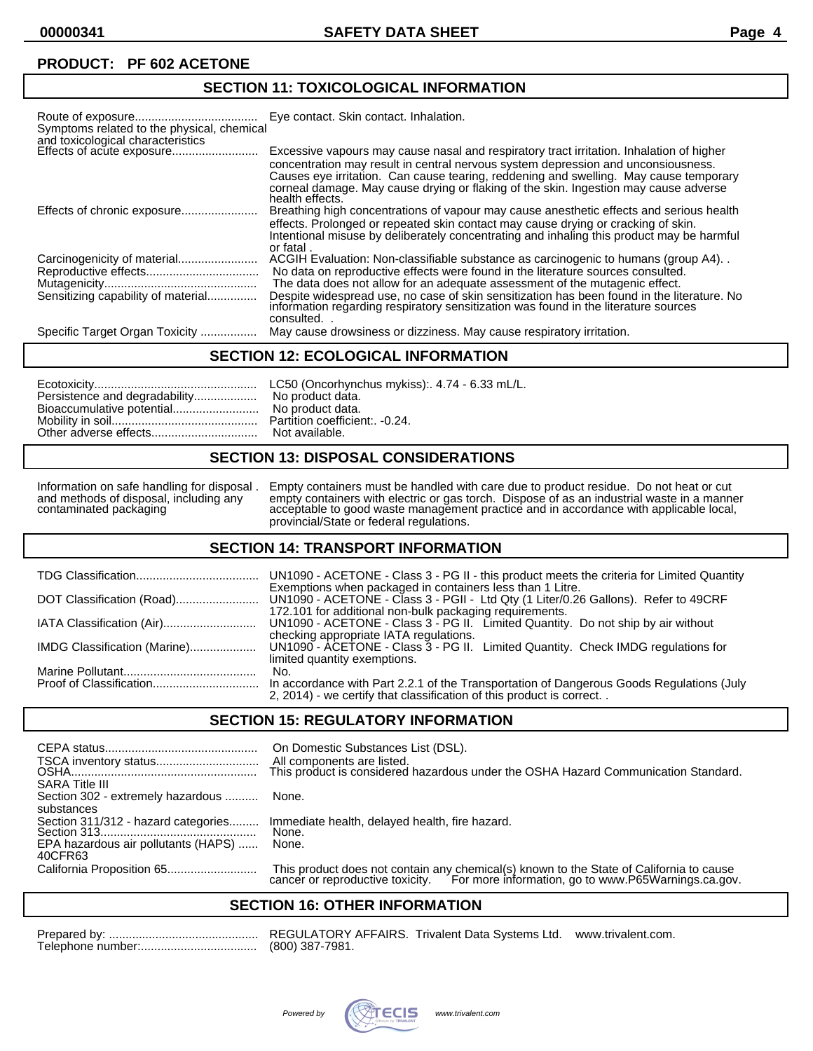# **SECTION 11: TOXICOLOGICAL INFORMATION**

| Symptoms related to the physical, chemical<br>and toxicological characteristics | Eye contact. Skin contact. Inhalation.                                                                                                                                                                                                                                 |
|---------------------------------------------------------------------------------|------------------------------------------------------------------------------------------------------------------------------------------------------------------------------------------------------------------------------------------------------------------------|
|                                                                                 | Excessive vapours may cause nasal and respiratory tract irritation. Inhalation of higher<br>concentration may result in central nervous system depression and unconsiousness.<br>Causes eye irritation. Can cause tearing, reddening and swelling. May cause temporary |
|                                                                                 | corneal damage. May cause drying or flaking of the skin. Ingestion may cause adverse<br>health effects.                                                                                                                                                                |
|                                                                                 | Breathing high concentrations of vapour may cause anesthetic effects and serious health                                                                                                                                                                                |
|                                                                                 | effects. Prolonged or repeated skin contact may cause drying or cracking of skin.<br>Intentional misuse by deliberately concentrating and inhaling this product may be harmful<br>or fatal.                                                                            |
|                                                                                 | ACGIH Evaluation: Non-classifiable substance as carcinogenic to humans (group A4).                                                                                                                                                                                     |
|                                                                                 | No data on reproductive effects were found in the literature sources consulted.                                                                                                                                                                                        |
|                                                                                 | The data does not allow for an adequate assessment of the mutagenic effect.                                                                                                                                                                                            |
| Sensitizing capability of material                                              | Despite widespread use, no case of skin sensitization has been found in the literature. No<br>information regarding respiratory sensitization was found in the literature sources<br>consulted.                                                                        |
| Specific Target Organ Toxicity                                                  | May cause drowsiness or dizziness. May cause respiratory irritation.                                                                                                                                                                                                   |

#### **SECTION 12: ECOLOGICAL INFORMATION**

| Persistence and degradability No product data. |  |
|------------------------------------------------|--|
|------------------------------------------------|--|

#### **SECTION 13: DISPOSAL CONSIDERATIONS**

Information on safe handling for disposal . Empty containers must be handled with care due to product residue. Do not heat or cut and methods of disposal, including any empty containers with electric or gas torch. Dispose and methods of disposal, including any empty containers with electric or gas torch. Dispose of as an industrial waste in a manner contaminated packaging acceptable to good waste management practice and in accordance with applicable local, provincial/State or federal regulations.

#### **SECTION 14: TRANSPORT INFORMATION**

|                              | UN1090 - ACETONE - Class 3 - PG II - this product meets the criteria for Limited Quantity                                                                                                                  |
|------------------------------|------------------------------------------------------------------------------------------------------------------------------------------------------------------------------------------------------------|
|                              | Exemptions when packaged in containers less than 1 Litre.<br>UN1090 - ACETONE - Class 3 - PGII - Ltd Qty (1 Liter/0.26 Gallons). Refer to 49CRF<br>172.101 for additional non-bulk packaging requirements. |
| IATA Classification (Air)    | UN1090 - ACETONE - Class 3 - PG II. Limited Quantity. Do not ship by air without<br>checking appropriate IATA regulations.                                                                                 |
| IMDG Classification (Marine) | UN1090 - ACETONE - Class 3 - PG II. Limited Quantity. Check IMDG regulations for<br>limited quantity exemptions.                                                                                           |
|                              | No.                                                                                                                                                                                                        |
|                              | In accordance with Part 2.2.1 of the Transportation of Dangerous Goods Regulations (July<br>2, 2014) - we certify that classification of this product is correct                                           |

#### **SECTION 15: REGULATORY INFORMATION**

| <b>SARA Title III</b>                          | On Domestic Substances List (DSL).<br>All components are listed.<br>This product is considered hazardous under the OSHA Hazard Communication Standard.                       |
|------------------------------------------------|------------------------------------------------------------------------------------------------------------------------------------------------------------------------------|
| Section 302 - extremely hazardous  None.       |                                                                                                                                                                              |
| substances                                     |                                                                                                                                                                              |
| Section 311/312 - hazard categories            | Immediate health, delayed health, fire hazard.<br>None.                                                                                                                      |
|                                                |                                                                                                                                                                              |
| EPA hazardous air pollutants (HAPS)<br>40CFR63 | None.                                                                                                                                                                        |
|                                                | This product does not contain any chemical(s) known to the State of California to cause cancer or reproductive toxicity. For more information, go to www.P65Warnings.ca.gov. |

#### **SECTION 16: OTHER INFORMATION**

REGULATORY AFFAIRS. Trivalent Data Systems Ltd. www.trivalent.com. (800) 387-7981.